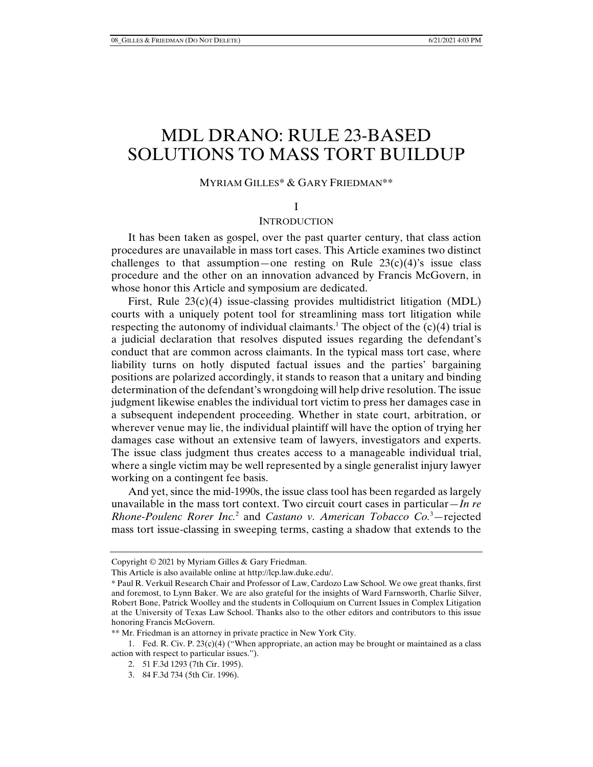# MDL DRANO: RULE 23-BASED SOLUTIONS TO MASS TORT BUILDUP

## MYRIAM GILLES\* & GARY FRIEDMAN\*\*

#### I

## INTRODUCTION

It has been taken as gospel, over the past quarter century, that class action procedures are unavailable in mass tort cases. This Article examines two distinct challenges to that assumption—one resting on Rule  $23(c)(4)$ 's issue class procedure and the other on an innovation advanced by Francis McGovern, in whose honor this Article and symposium are dedicated.

First, Rule 23(c)(4) issue-classing provides multidistrict litigation (MDL) courts with a uniquely potent tool for streamlining mass tort litigation while respecting the autonomy of individual claimants.<sup>1</sup> The object of the  $(c)(4)$  trial is a judicial declaration that resolves disputed issues regarding the defendant's conduct that are common across claimants. In the typical mass tort case, where liability turns on hotly disputed factual issues and the parties' bargaining positions are polarized accordingly, it stands to reason that a unitary and binding determination of the defendant's wrongdoing will help drive resolution. The issue judgment likewise enables the individual tort victim to press her damages case in a subsequent independent proceeding. Whether in state court, arbitration, or wherever venue may lie, the individual plaintiff will have the option of trying her damages case without an extensive team of lawyers, investigators and experts. The issue class judgment thus creates access to a manageable individual trial, where a single victim may be well represented by a single generalist injury lawyer working on a contingent fee basis.

And yet, since the mid-1990s, the issue class tool has been regarded as largely unavailable in the mass tort context. Two circuit court cases in particular—*In re Rhone-Poulenc Rorer Inc.*<sup>2</sup> and *Castano v. American Tobacco Co.*<sup>3</sup> —rejected mass tort issue-classing in sweeping terms, casting a shadow that extends to the

Copyright © 2021 by Myriam Gilles & Gary Friedman.

This Article is also available online at http://lcp.law.duke.edu/.

<sup>\*</sup> Paul R. Verkuil Research Chair and Professor of Law, Cardozo Law School. We owe great thanks, first and foremost, to Lynn Baker. We are also grateful for the insights of Ward Farnsworth, Charlie Silver, Robert Bone, Patrick Woolley and the students in Colloquium on Current Issues in Complex Litigation at the University of Texas Law School. Thanks also to the other editors and contributors to this issue honoring Francis McGovern.

<sup>\*\*</sup> Mr. Friedman is an attorney in private practice in New York City.

 <sup>1.</sup> Fed. R. Civ. P. 23(c)(4) ("When appropriate, an action may be brought or maintained as a class action with respect to particular issues.").

 <sup>2. 51</sup> F.3d 1293 (7th Cir. 1995).

 <sup>3. 84</sup> F.3d 734 (5th Cir. 1996).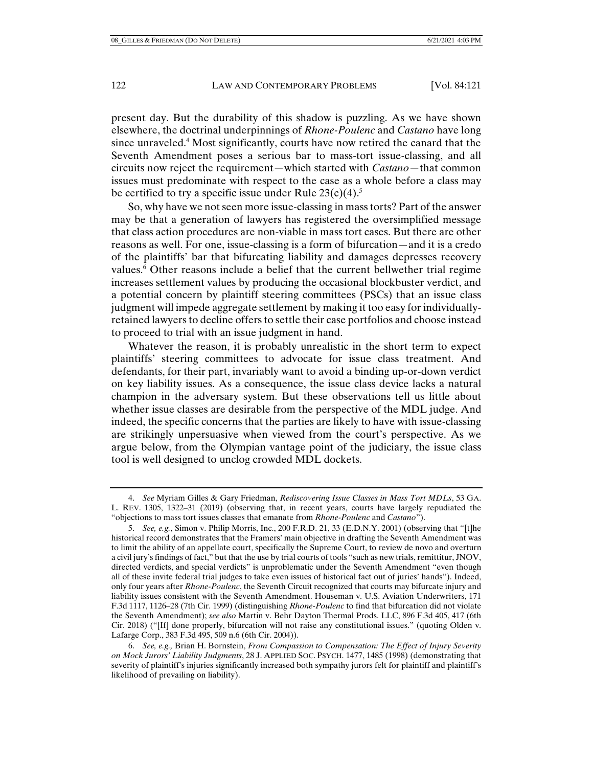present day. But the durability of this shadow is puzzling. As we have shown elsewhere, the doctrinal underpinnings of *Rhone-Poulenc* and *Castano* have long since unraveled.4 Most significantly, courts have now retired the canard that the Seventh Amendment poses a serious bar to mass-tort issue-classing, and all circuits now reject the requirement—which started with *Castano*—that common issues must predominate with respect to the case as a whole before a class may be certified to try a specific issue under Rule  $23(c)(4)$ .<sup>5</sup>

So, why have we not seen more issue-classing in mass torts? Part of the answer may be that a generation of lawyers has registered the oversimplified message that class action procedures are non-viable in mass tort cases. But there are other reasons as well. For one, issue-classing is a form of bifurcation—and it is a credo of the plaintiffs' bar that bifurcating liability and damages depresses recovery values.<sup>6</sup> Other reasons include a belief that the current bellwether trial regime increases settlement values by producing the occasional blockbuster verdict, and a potential concern by plaintiff steering committees (PSCs) that an issue class judgment will impede aggregate settlement by making it too easy for individuallyretained lawyers to decline offers to settle their case portfolios and choose instead to proceed to trial with an issue judgment in hand.

Whatever the reason, it is probably unrealistic in the short term to expect plaintiffs' steering committees to advocate for issue class treatment. And defendants, for their part, invariably want to avoid a binding up-or-down verdict on key liability issues. As a consequence, the issue class device lacks a natural champion in the adversary system. But these observations tell us little about whether issue classes are desirable from the perspective of the MDL judge. And indeed, the specific concerns that the parties are likely to have with issue-classing are strikingly unpersuasive when viewed from the court's perspective. As we argue below, from the Olympian vantage point of the judiciary, the issue class tool is well designed to unclog crowded MDL dockets.

 6. *See, e.g.,* Brian H. Bornstein, *From Compassion to Compensation: The Effect of Injury Severity on Mock Jurors' Liability Judgments*, 28 J. APPLIED SOC. PSYCH. 1477, 1485 (1998) (demonstrating that severity of plaintiff's injuries significantly increased both sympathy jurors felt for plaintiff and plaintiff's likelihood of prevailing on liability).

 <sup>4.</sup> *See* Myriam Gilles & Gary Friedman, *Rediscovering Issue Classes in Mass Tort MDLs*, 53 GA. L. REV. 1305, 1322–31 (2019) (observing that, in recent years, courts have largely repudiated the "objections to mass tort issues classes that emanate from *Rhone-Poulenc* and *Castano*").

 <sup>5.</sup> *See, e.g.*, Simon v. Philip Morris, Inc., 200 F.R.D. 21, 33 (E.D.N.Y. 2001) (observing that "[t]he historical record demonstrates that the Framers' main objective in drafting the Seventh Amendment was to limit the ability of an appellate court, specifically the Supreme Court, to review de novo and overturn a civil jury's findings of fact," but that the use by trial courts of tools "such as new trials, remittitur, JNOV, directed verdicts, and special verdicts" is unproblematic under the Seventh Amendment "even though all of these invite federal trial judges to take even issues of historical fact out of juries' hands"). Indeed, only four years after *Rhone-Poulenc*, the Seventh Circuit recognized that courts may bifurcate injury and liability issues consistent with the Seventh Amendment. Houseman v. U.S. Aviation Underwriters, 171 F.3d 1117, 1126–28 (7th Cir. 1999) (distinguishing *Rhone-Poulenc* to find that bifurcation did not violate the Seventh Amendment); *see also* Martin v. Behr Dayton Thermal Prods. LLC, 896 F.3d 405, 417 (6th Cir. 2018) ("[If] done properly, bifurcation will not raise any constitutional issues." (quoting Olden v. Lafarge Corp., 383 F.3d 495, 509 n.6 (6th Cir. 2004)).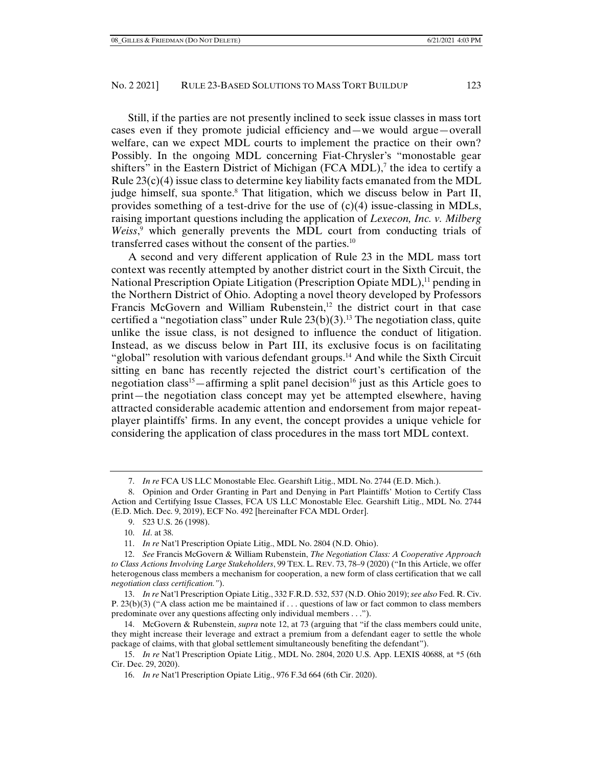Still, if the parties are not presently inclined to seek issue classes in mass tort cases even if they promote judicial efficiency and—we would argue—overall welfare, can we expect MDL courts to implement the practice on their own? Possibly. In the ongoing MDL concerning Fiat-Chrysler's "monostable gear shifters" in the Eastern District of Michigan (FCA MDL),<sup>7</sup> the idea to certify a Rule  $23(c)(4)$  issue class to determine key liability facts emanated from the MDL judge himself, sua sponte.<sup>8</sup> That litigation, which we discuss below in Part II, provides something of a test-drive for the use of  $(c)(4)$  issue-classing in MDLs, raising important questions including the application of *Lexecon, Inc. v. Milberg*  Weiss,<sup>9</sup> which generally prevents the MDL court from conducting trials of transferred cases without the consent of the parties.10

A second and very different application of Rule 23 in the MDL mass tort context was recently attempted by another district court in the Sixth Circuit, the National Prescription Opiate Litigation (Prescription Opiate MDL),<sup>11</sup> pending in the Northern District of Ohio. Adopting a novel theory developed by Professors Francis McGovern and William Rubenstein, $12$  the district court in that case certified a "negotiation class" under Rule  $23(b)(3)$ .<sup>13</sup> The negotiation class, quite unlike the issue class, is not designed to influence the conduct of litigation. Instead, as we discuss below in Part III, its exclusive focus is on facilitating "global" resolution with various defendant groups.<sup>14</sup> And while the Sixth Circuit sitting en banc has recently rejected the district court's certification of the negotiation class<sup>15</sup>—affirming a split panel decision<sup>16</sup> just as this Article goes to print—the negotiation class concept may yet be attempted elsewhere, having attracted considerable academic attention and endorsement from major repeatplayer plaintiffs' firms. In any event, the concept provides a unique vehicle for considering the application of class procedures in the mass tort MDL context.

 <sup>7.</sup> *In re* FCA US LLC Monostable Elec. Gearshift Litig., MDL No. 2744 (E.D. Mich.).

 <sup>8.</sup> Opinion and Order Granting in Part and Denying in Part Plaintiffs' Motion to Certify Class Action and Certifying Issue Classes, FCA US LLC Monostable Elec. Gearshift Litig., MDL No. 2744 (E.D. Mich. Dec. 9, 2019), ECF No. 492 [hereinafter FCA MDL Order].

 <sup>9. 523</sup> U.S. 26 (1998).

 <sup>10.</sup> *Id*. at 38.

 <sup>11.</sup> *In re* Nat'l Prescription Opiate Litig., MDL No. 2804 (N.D. Ohio).

 <sup>12.</sup> *See* Francis McGovern & William Rubenstein, *The Negotiation Class: A Cooperative Approach to Class Actions Involving Large Stakeholders*, 99 TEX. L. REV. 73, 78–9 (2020) ("In this Article, we offer heterogenous class members a mechanism for cooperation, a new form of class certification that we call *negotiation class certification."*).

 <sup>13.</sup> *In re* Nat'l Prescription Opiate Litig., 332 F.R.D. 532, 537 (N.D. Ohio 2019); *see also* Fed. R. Civ. P. 23(b)(3) ("A class action me be maintained if . . . questions of law or fact common to class members predominate over any questions affecting only individual members . . .").

 <sup>14.</sup> McGovern & Rubenstein, *supra* note 12, at 73 (arguing that "if the class members could unite, they might increase their leverage and extract a premium from a defendant eager to settle the whole package of claims, with that global settlement simultaneously benefiting the defendant").

 <sup>15.</sup> *In re* Nat'l Prescription Opiate Litig*.*, MDL No. 2804, 2020 U.S. App. LEXIS 40688, at \*5 (6th Cir. Dec. 29, 2020).

 <sup>16.</sup> *In re* Nat'l Prescription Opiate Litig., 976 F.3d 664 (6th Cir. 2020).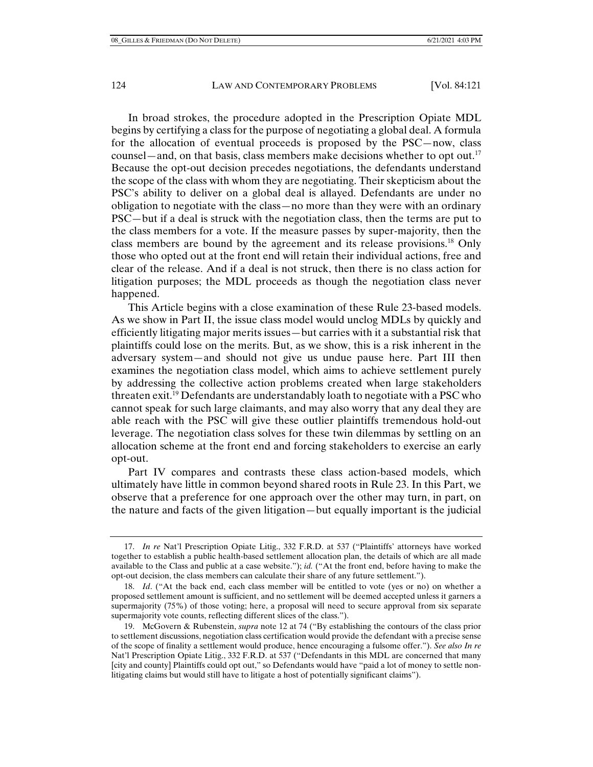In broad strokes, the procedure adopted in the Prescription Opiate MDL begins by certifying a class for the purpose of negotiating a global deal. A formula for the allocation of eventual proceeds is proposed by the PSC—now, class counsel—and, on that basis, class members make decisions whether to opt out.<sup>17</sup> Because the opt-out decision precedes negotiations, the defendants understand the scope of the class with whom they are negotiating. Their skepticism about the PSC's ability to deliver on a global deal is allayed. Defendants are under no obligation to negotiate with the class—no more than they were with an ordinary PSC—but if a deal is struck with the negotiation class, then the terms are put to the class members for a vote. If the measure passes by super-majority, then the class members are bound by the agreement and its release provisions.18 Only those who opted out at the front end will retain their individual actions, free and clear of the release. And if a deal is not struck, then there is no class action for litigation purposes; the MDL proceeds as though the negotiation class never happened.

This Article begins with a close examination of these Rule 23-based models. As we show in Part II, the issue class model would unclog MDLs by quickly and efficiently litigating major merits issues—but carries with it a substantial risk that plaintiffs could lose on the merits. But, as we show, this is a risk inherent in the adversary system—and should not give us undue pause here. Part III then examines the negotiation class model, which aims to achieve settlement purely by addressing the collective action problems created when large stakeholders threaten exit.<sup>19</sup> Defendants are understandably loath to negotiate with a PSC who cannot speak for such large claimants, and may also worry that any deal they are able reach with the PSC will give these outlier plaintiffs tremendous hold-out leverage. The negotiation class solves for these twin dilemmas by settling on an allocation scheme at the front end and forcing stakeholders to exercise an early opt-out.

Part IV compares and contrasts these class action-based models, which ultimately have little in common beyond shared roots in Rule 23. In this Part, we observe that a preference for one approach over the other may turn, in part, on the nature and facts of the given litigation—but equally important is the judicial

 <sup>17.</sup> *In re* Nat'l Prescription Opiate Litig., 332 F.R.D. at 537 ("Plaintiffs' attorneys have worked together to establish a public health-based settlement allocation plan, the details of which are all made available to the Class and public at a case website."); *id.* ("At the front end, before having to make the opt-out decision, the class members can calculate their share of any future settlement.").

 <sup>18.</sup> *Id*. ("At the back end, each class member will be entitled to vote (yes or no) on whether a proposed settlement amount is sufficient, and no settlement will be deemed accepted unless it garners a supermajority (75%) of those voting; here, a proposal will need to secure approval from six separate supermajority vote counts, reflecting different slices of the class.").

 <sup>19.</sup> McGovern & Rubenstein, *supra* note 12 at 74 ("By establishing the contours of the class prior to settlement discussions, negotiation class certification would provide the defendant with a precise sense of the scope of finality a settlement would produce, hence encouraging a fulsome offer."). *See also In re* Nat'l Prescription Opiate Litig., 332 F.R.D. at 537 ("Defendants in this MDL are concerned that many [city and county] Plaintiffs could opt out," so Defendants would have "paid a lot of money to settle nonlitigating claims but would still have to litigate a host of potentially significant claims").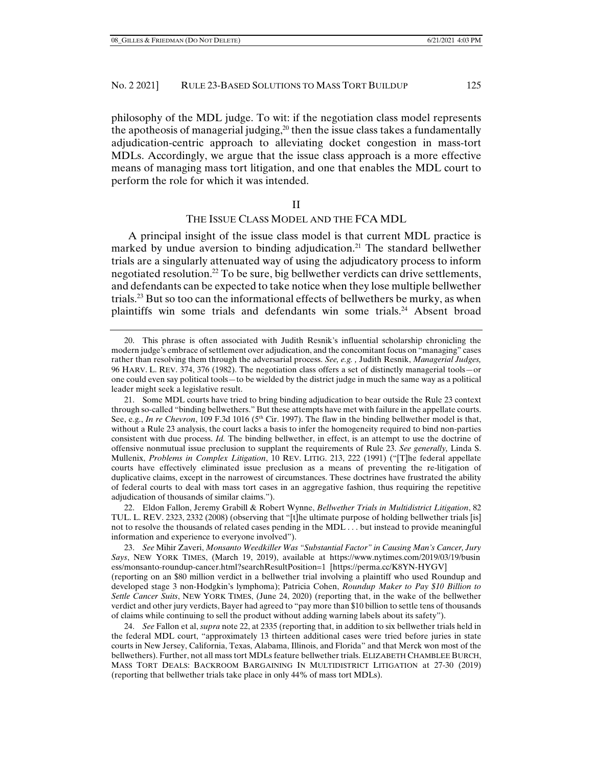philosophy of the MDL judge. To wit: if the negotiation class model represents the apotheosis of managerial judging, $20$  then the issue class takes a fundamentally adjudication-centric approach to alleviating docket congestion in mass-tort MDLs. Accordingly, we argue that the issue class approach is a more effective means of managing mass tort litigation, and one that enables the MDL court to perform the role for which it was intended.

#### II

## THE ISSUE CLASS MODEL AND THE FCA MDL

A principal insight of the issue class model is that current MDL practice is marked by undue aversion to binding adjudication.<sup>21</sup> The standard bellwether trials are a singularly attenuated way of using the adjudicatory process to inform negotiated resolution.22 To be sure, big bellwether verdicts can drive settlements, and defendants can be expected to take notice when they lose multiple bellwether trials.<sup>23</sup> But so too can the informational effects of bellwethers be murky, as when plaintiffs win some trials and defendants win some trials.<sup>24</sup> Absent broad

 22. Eldon Fallon, Jeremy Grabill & Robert Wynne, *Bellwether Trials in Multidistrict Litigation*, 82 TUL. L. REV. 2323, 2332 (2008) (observing that "[t]he ultimate purpose of holding bellwether trials [is] not to resolve the thousands of related cases pending in the MDL . . . but instead to provide meaningful information and experience to everyone involved").

 23. *See* Mihir Zaveri, *Monsanto Weedkiller Was "Substantial Factor" in Causing Man's Cancer, Jury Says*, NEW YORK TIMES, (March 19, 2019), available at https://www.nytimes.com/2019/03/19/busin ess/monsanto-roundup-cancer.html?searchResultPosition=1 [https://perma.cc/K8YN-HYGV] (reporting on an \$80 million verdict in a bellwether trial involving a plaintiff who used Roundup and developed stage 3 non-Hodgkin's lymphoma); Patricia Cohen, *Roundup Maker to Pay \$10 Billion to Settle Cancer Suits*, NEW YORK TIMES, (June 24, 2020) (reporting that, in the wake of the bellwether verdict and other jury verdicts, Bayer had agreed to "pay more than \$10 billion to settle tens of thousands of claims while continuing to sell the product without adding warning labels about its safety").

 24. *See* Fallon et al, *supra* note 22, at 2335 (reporting that, in addition to six bellwether trials held in the federal MDL court, "approximately 13 thirteen additional cases were tried before juries in state courts in New Jersey, California, Texas, Alabama, Illinois, and Florida" and that Merck won most of the bellwethers). Further, not all mass tort MDLs feature bellwether trials. ELIZABETH CHAMBLEE BURCH, MASS TORT DEALS: BACKROOM BARGAINING IN MULTIDISTRICT LITIGATION at 27-30 (2019) (reporting that bellwether trials take place in only 44% of mass tort MDLs).

 <sup>20.</sup> This phrase is often associated with Judith Resnik's influential scholarship chronicling the modern judge's embrace of settlement over adjudication, and the concomitant focus on "managing" cases rather than resolving them through the adversarial process. *See, e.g. ,* Judith Resnik, *Managerial Judges,*  96 HARV. L. REV. 374, 376 (1982). The negotiation class offers a set of distinctly managerial tools—or one could even say political tools—to be wielded by the district judge in much the same way as a political leader might seek a legislative result.

 <sup>21.</sup> Some MDL courts have tried to bring binding adjudication to bear outside the Rule 23 context through so-called "binding bellwethers." But these attempts have met with failure in the appellate courts. See, e.g., *In re Chevron*, 109 F.3d 1016 (5<sup>th</sup> Cir. 1997). The flaw in the binding bellwether model is that, without a Rule 23 analysis, the court lacks a basis to infer the homogeneity required to bind non-parties consistent with due process. *Id.* The binding bellwether, in effect, is an attempt to use the doctrine of offensive nonmutual issue preclusion to supplant the requirements of Rule 23. *See generally,* Linda S. Mullenix, *Problems in Complex Litigation*, 10 REV. LITIG. 213, 222 (1991) ("[T]he federal appellate courts have effectively eliminated issue preclusion as a means of preventing the re-litigation of duplicative claims, except in the narrowest of circumstances. These doctrines have frustrated the ability of federal courts to deal with mass tort cases in an aggregative fashion, thus requiring the repetitive adjudication of thousands of similar claims.").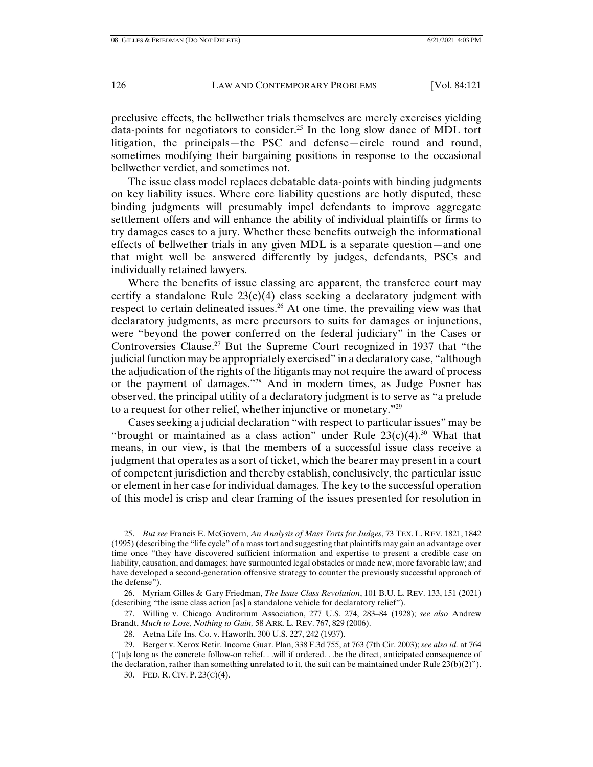preclusive effects, the bellwether trials themselves are merely exercises yielding data-points for negotiators to consider.25 In the long slow dance of MDL tort litigation, the principals—the PSC and defense—circle round and round, sometimes modifying their bargaining positions in response to the occasional bellwether verdict, and sometimes not.

The issue class model replaces debatable data-points with binding judgments on key liability issues. Where core liability questions are hotly disputed, these binding judgments will presumably impel defendants to improve aggregate settlement offers and will enhance the ability of individual plaintiffs or firms to try damages cases to a jury. Whether these benefits outweigh the informational effects of bellwether trials in any given MDL is a separate question—and one that might well be answered differently by judges, defendants, PSCs and individually retained lawyers.

Where the benefits of issue classing are apparent, the transferee court may certify a standalone Rule  $23(c)(4)$  class seeking a declaratory judgment with respect to certain delineated issues.<sup>26</sup> At one time, the prevailing view was that declaratory judgments, as mere precursors to suits for damages or injunctions, were "beyond the power conferred on the federal judiciary" in the Cases or Controversies Clause.<sup>27</sup> But the Supreme Court recognized in 1937 that "the judicial function may be appropriately exercised" in a declaratory case, "although the adjudication of the rights of the litigants may not require the award of process or the payment of damages."28 And in modern times, as Judge Posner has observed, the principal utility of a declaratory judgment is to serve as "a prelude to a request for other relief, whether injunctive or monetary."29

Cases seeking a judicial declaration "with respect to particular issues" may be "brought or maintained as a class action" under Rule  $23(c)(4)$ .<sup>30</sup> What that means, in our view, is that the members of a successful issue class receive a judgment that operates as a sort of ticket, which the bearer may present in a court of competent jurisdiction and thereby establish, conclusively, the particular issue or element in her case for individual damages. The key to the successful operation of this model is crisp and clear framing of the issues presented for resolution in

 <sup>25.</sup> *But see* Francis E. McGovern, *An Analysis of Mass Torts for Judges*, 73 TEX. L. REV. 1821, 1842 (1995) (describing the "life cycle" of a mass tort and suggesting that plaintiffs may gain an advantage over time once "they have discovered sufficient information and expertise to present a credible case on liability, causation, and damages; have surmounted legal obstacles or made new, more favorable law; and have developed a second-generation offensive strategy to counter the previously successful approach of the defense").

 <sup>26.</sup> Myriam Gilles & Gary Friedman, *The Issue Class Revolution*, 101 B.U. L. REV. 133, 151 (2021) (describing "the issue class action [as] a standalone vehicle for declaratory relief").

 <sup>27.</sup> Willing v. Chicago Auditorium Association, 277 U.S. 274, 283–84 (1928); *see also* Andrew Brandt, *Much to Lose, Nothing to Gain,* 58 ARK. L. REV. 767, 829 (2006).

 <sup>28.</sup> Aetna Life Ins. Co. v. Haworth, 300 U.S. 227, 242 (1937).

 <sup>29.</sup> Berger v. Xerox Retir. Income Guar. Plan, 338 F.3d 755, at 763 (7th Cir. 2003); *see also id.* at 764 ("[a]s long as the concrete follow-on relief. . .will if ordered. . .be the direct, anticipated consequence of the declaration, rather than something unrelated to it, the suit can be maintained under Rule  $23(b)(2)$ ").

 <sup>30.</sup> FED. R. CIV. P. 23(C)(4).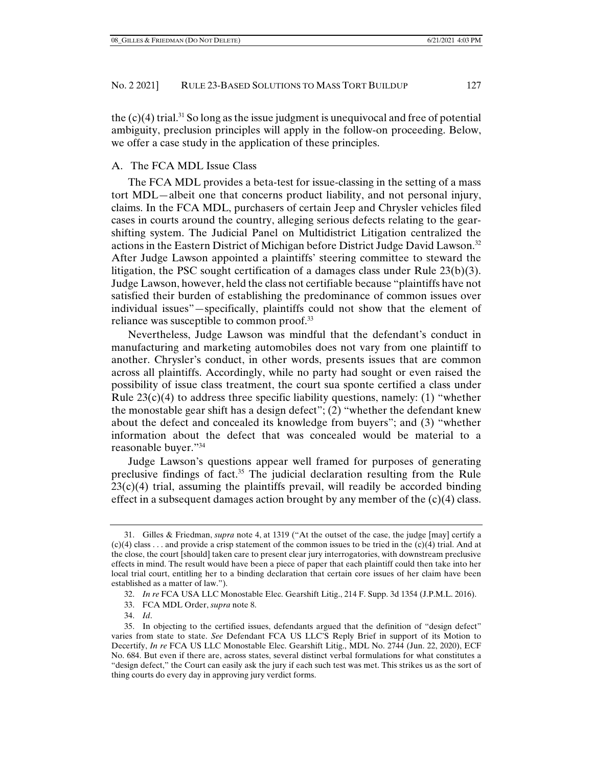the  $(c)(4)$  trial.<sup>31</sup> So long as the issue judgment is unequivocal and free of potential ambiguity, preclusion principles will apply in the follow-on proceeding. Below, we offer a case study in the application of these principles.

## A. The FCA MDL Issue Class

The FCA MDL provides a beta-test for issue-classing in the setting of a mass tort MDL—albeit one that concerns product liability, and not personal injury, claims. In the FCA MDL, purchasers of certain Jeep and Chrysler vehicles filed cases in courts around the country, alleging serious defects relating to the gearshifting system. The Judicial Panel on Multidistrict Litigation centralized the actions in the Eastern District of Michigan before District Judge David Lawson.<sup>32</sup> After Judge Lawson appointed a plaintiffs' steering committee to steward the litigation, the PSC sought certification of a damages class under Rule 23(b)(3). Judge Lawson, however, held the class not certifiable because "plaintiffs have not satisfied their burden of establishing the predominance of common issues over individual issues"—specifically, plaintiffs could not show that the element of reliance was susceptible to common proof.33

Nevertheless, Judge Lawson was mindful that the defendant's conduct in manufacturing and marketing automobiles does not vary from one plaintiff to another. Chrysler's conduct, in other words, presents issues that are common across all plaintiffs. Accordingly, while no party had sought or even raised the possibility of issue class treatment, the court sua sponte certified a class under Rule  $23(c)(4)$  to address three specific liability questions, namely: (1) "whether the monostable gear shift has a design defect"; (2) "whether the defendant knew about the defect and concealed its knowledge from buyers"; and (3) "whether information about the defect that was concealed would be material to a reasonable buyer."34

Judge Lawson's questions appear well framed for purposes of generating preclusive findings of fact.35 The judicial declaration resulting from the Rule  $23(c)(4)$  trial, assuming the plaintiffs prevail, will readily be accorded binding effect in a subsequent damages action brought by any member of the  $(c)(4)$  class.

 <sup>31.</sup> Gilles & Friedman, *supra* note 4, at 1319 ("At the outset of the case, the judge [may] certify a  $(c)(4)$  class . . . and provide a crisp statement of the common issues to be tried in the  $(c)(4)$  trial. And at the close, the court [should] taken care to present clear jury interrogatories, with downstream preclusive effects in mind. The result would have been a piece of paper that each plaintiff could then take into her local trial court, entitling her to a binding declaration that certain core issues of her claim have been established as a matter of law.").

 <sup>32.</sup> *In re* FCA USA LLC Monostable Elec. Gearshift Litig., 214 F. Supp. 3d 1354 (J.P.M.L. 2016).

 <sup>33.</sup> FCA MDL Order, *supra* note 8.

 <sup>34.</sup> *Id*.

 <sup>35.</sup> In objecting to the certified issues, defendants argued that the definition of "design defect" varies from state to state. *See* Defendant FCA US LLC'S Reply Brief in support of its Motion to Decertify, *In re* FCA US LLC Monostable Elec. Gearshift Litig., MDL No. 2744 (Jun. 22, 2020), ECF No. 684. But even if there are, across states, several distinct verbal formulations for what constitutes a "design defect," the Court can easily ask the jury if each such test was met. This strikes us as the sort of thing courts do every day in approving jury verdict forms.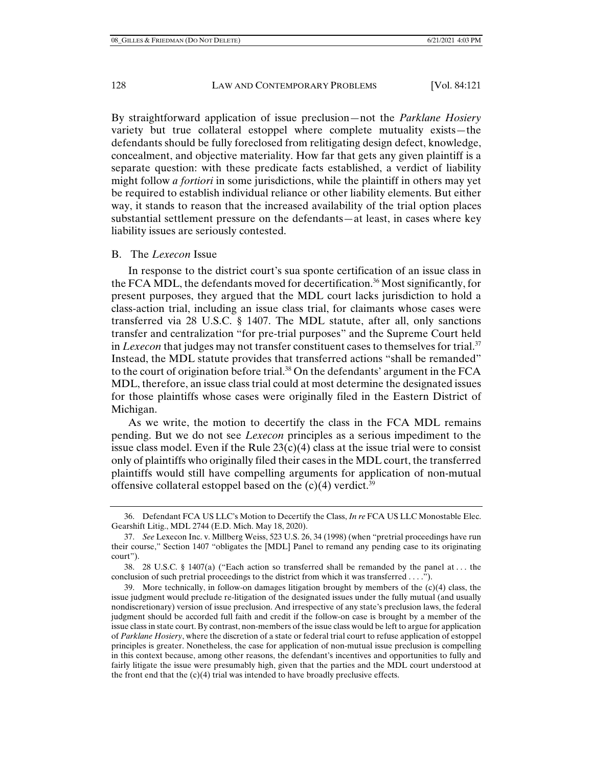By straightforward application of issue preclusion—not the *Parklane Hosiery*  variety but true collateral estoppel where complete mutuality exists—the defendants should be fully foreclosed from relitigating design defect, knowledge, concealment, and objective materiality. How far that gets any given plaintiff is a separate question: with these predicate facts established, a verdict of liability might follow *a fortiori* in some jurisdictions, while the plaintiff in others may yet be required to establish individual reliance or other liability elements. But either way, it stands to reason that the increased availability of the trial option places substantial settlement pressure on the defendants—at least, in cases where key liability issues are seriously contested.

#### B. The *Lexecon* Issue

In response to the district court's sua sponte certification of an issue class in the FCA MDL, the defendants moved for decertification.36 Most significantly, for present purposes, they argued that the MDL court lacks jurisdiction to hold a class-action trial, including an issue class trial, for claimants whose cases were transferred via 28 U.S.C. § 1407. The MDL statute, after all, only sanctions transfer and centralization "for pre-trial purposes" and the Supreme Court held in *Lexecon* that judges may not transfer constituent cases to themselves for trial.<sup>37</sup> Instead, the MDL statute provides that transferred actions "shall be remanded" to the court of origination before trial. $38$  On the defendants' argument in the FCA MDL, therefore, an issue class trial could at most determine the designated issues for those plaintiffs whose cases were originally filed in the Eastern District of Michigan.

As we write, the motion to decertify the class in the FCA MDL remains pending. But we do not see *Lexecon* principles as a serious impediment to the issue class model. Even if the Rule  $23(c)(4)$  class at the issue trial were to consist only of plaintiffs who originally filed their cases in the MDL court, the transferred plaintiffs would still have compelling arguments for application of non-mutual offensive collateral estoppel based on the  $(c)(4)$  verdict.<sup>39</sup>

 <sup>36.</sup> Defendant FCA US LLC's Motion to Decertify the Class, *In re* FCA US LLC Monostable Elec. Gearshift Litig., MDL 2744 (E.D. Mich. May 18, 2020).

 <sup>37.</sup> *See* Lexecon Inc. v. Millberg Weiss, 523 U.S. 26, 34 (1998) (when "pretrial proceedings have run their course," Section 1407 "obligates the [MDL] Panel to remand any pending case to its originating court").

 <sup>38. 28</sup> U.S.C. § 1407(a) ("Each action so transferred shall be remanded by the panel at . . . the conclusion of such pretrial proceedings to the district from which it was transferred . . . .").

 <sup>39.</sup> More technically, in follow-on damages litigation brought by members of the (c)(4) class, the issue judgment would preclude re-litigation of the designated issues under the fully mutual (and usually nondiscretionary) version of issue preclusion. And irrespective of any state's preclusion laws, the federal judgment should be accorded full faith and credit if the follow-on case is brought by a member of the issue class in state court. By contrast, non-members of the issue class would be left to argue for application of *Parklane Hosiery*, where the discretion of a state or federal trial court to refuse application of estoppel principles is greater. Nonetheless, the case for application of non-mutual issue preclusion is compelling in this context because, among other reasons, the defendant's incentives and opportunities to fully and fairly litigate the issue were presumably high, given that the parties and the MDL court understood at the front end that the  $(c)(4)$  trial was intended to have broadly preclusive effects.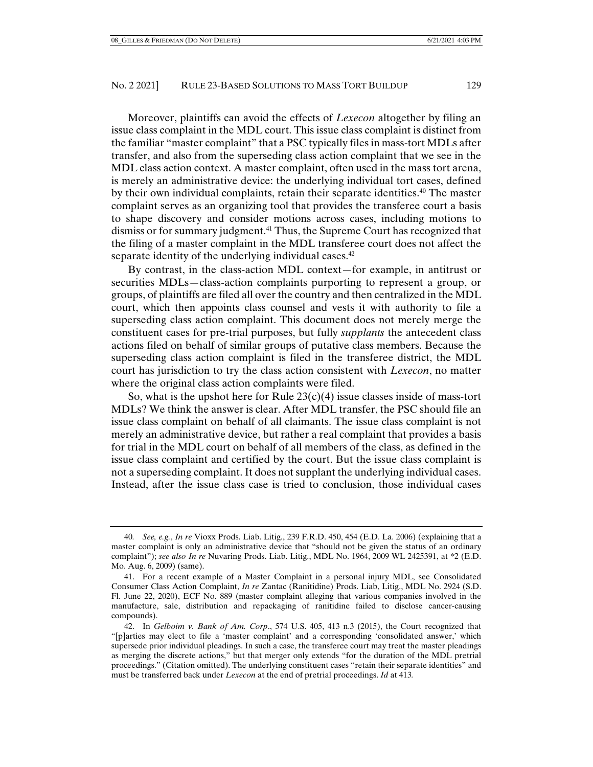Moreover, plaintiffs can avoid the effects of *Lexecon* altogether by filing an issue class complaint in the MDL court. This issue class complaint is distinct from the familiar "master complaint" that a PSC typically files in mass-tort MDLs after transfer, and also from the superseding class action complaint that we see in the MDL class action context. A master complaint, often used in the mass tort arena, is merely an administrative device: the underlying individual tort cases, defined by their own individual complaints, retain their separate identities.<sup>40</sup> The master complaint serves as an organizing tool that provides the transferee court a basis to shape discovery and consider motions across cases, including motions to dismiss or for summary judgment.41 Thus, the Supreme Court has recognized that the filing of a master complaint in the MDL transferee court does not affect the separate identity of the underlying individual cases.<sup>42</sup>

By contrast, in the class-action MDL context—for example, in antitrust or securities MDLs—class-action complaints purporting to represent a group, or groups, of plaintiffs are filed all over the country and then centralized in the MDL court, which then appoints class counsel and vests it with authority to file a superseding class action complaint. This document does not merely merge the constituent cases for pre-trial purposes, but fully *supplants* the antecedent class actions filed on behalf of similar groups of putative class members. Because the superseding class action complaint is filed in the transferee district, the MDL court has jurisdiction to try the class action consistent with *Lexecon*, no matter where the original class action complaints were filed.

So, what is the upshot here for Rule  $23(c)(4)$  issue classes inside of mass-tort MDLs? We think the answer is clear. After MDL transfer, the PSC should file an issue class complaint on behalf of all claimants. The issue class complaint is not merely an administrative device, but rather a real complaint that provides a basis for trial in the MDL court on behalf of all members of the class, as defined in the issue class complaint and certified by the court. But the issue class complaint is not a superseding complaint. It does not supplant the underlying individual cases. Instead, after the issue class case is tried to conclusion, those individual cases

<sup>40</sup>*. See, e.g.*, *In re* Vioxx Prods. Liab. Litig., 239 F.R.D. 450, 454 (E.D. La. 2006) (explaining that a master complaint is only an administrative device that "should not be given the status of an ordinary complaint"); *see also In re* Nuvaring Prods. Liab. Litig., MDL No. 1964, 2009 WL 2425391, at \*2 (E.D. Mo. Aug. 6, 2009) (same).

 <sup>41.</sup> For a recent example of a Master Complaint in a personal injury MDL, see Consolidated Consumer Class Action Complaint, *In re* Zantac (Ranitidine) Prods. Liab, Litig., MDL No. 2924 (S.D. Fl. June 22, 2020), ECF No. 889 (master complaint alleging that various companies involved in the manufacture, sale, distribution and repackaging of ranitidine failed to disclose cancer-causing compounds).

 <sup>42.</sup> In *Gelboim v. Bank of Am. Corp*., 574 U.S. 405, 413 n.3 (2015), the Court recognized that "[p]arties may elect to file a 'master complaint' and a corresponding 'consolidated answer,' which supersede prior individual pleadings. In such a case, the transferee court may treat the master pleadings as merging the discrete actions," but that merger only extends "for the duration of the MDL pretrial proceedings." (Citation omitted). The underlying constituent cases "retain their separate identities" and must be transferred back under *Lexecon* at the end of pretrial proceedings. *Id* at 413*.*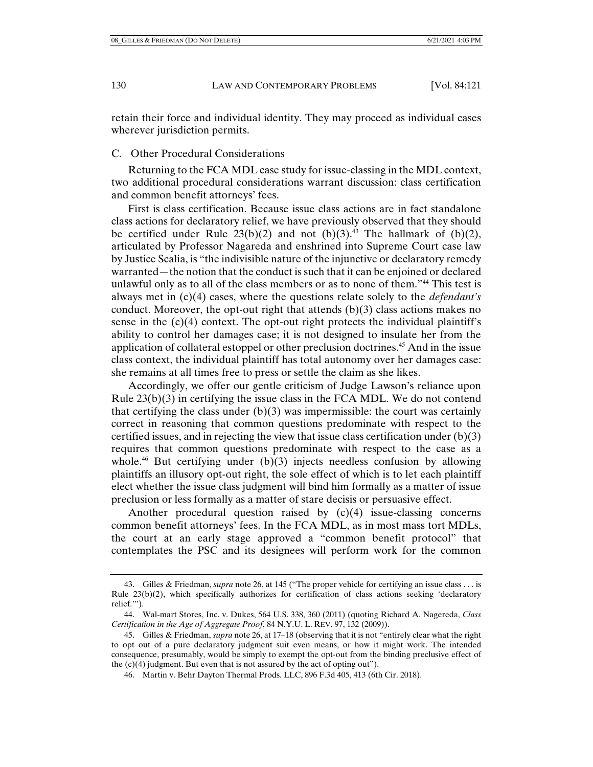retain their force and individual identity. They may proceed as individual cases wherever jurisdiction permits.

C. Other Procedural Considerations

Returning to the FCA MDL case study for issue-classing in the MDL context, two additional procedural considerations warrant discussion: class certification and common benefit attorneys' fees.

First is class certification. Because issue class actions are in fact standalone class actions for declaratory relief, we have previously observed that they should be certified under Rule  $23(b)(2)$  and not  $(b)(3)$ .<sup>43</sup> The hallmark of  $(b)(2)$ , articulated by Professor Nagareda and enshrined into Supreme Court case law by Justice Scalia, is "the indivisible nature of the injunctive or declaratory remedy warranted—the notion that the conduct is such that it can be enjoined or declared unlawful only as to all of the class members or as to none of them."44 This test is always met in (c)(4) cases, where the questions relate solely to the *defendant's* conduct. Moreover, the opt-out right that attends  $(b)(3)$  class actions makes no sense in the (c)(4) context. The opt-out right protects the individual plaintiff's ability to control her damages case; it is not designed to insulate her from the application of collateral estoppel or other preclusion doctrines.<sup>45</sup> And in the issue class context, the individual plaintiff has total autonomy over her damages case: she remains at all times free to press or settle the claim as she likes.

Accordingly, we offer our gentle criticism of Judge Lawson's reliance upon Rule  $23(b)(3)$  in certifying the issue class in the FCA MDL. We do not contend that certifying the class under  $(b)(3)$  was impermissible: the court was certainly correct in reasoning that common questions predominate with respect to the certified issues, and in rejecting the view that issue class certification under (b)(3) requires that common questions predominate with respect to the case as a whole.<sup>46</sup> But certifying under (b)(3) injects needless confusion by allowing plaintiffs an illusory opt-out right, the sole effect of which is to let each plaintiff elect whether the issue class judgment will bind him formally as a matter of issue preclusion or less formally as a matter of stare decisis or persuasive effect.

Another procedural question raised by (c)(4) issue-classing concerns common benefit attorneys' fees. In the FCA MDL, as in most mass tort MDLs, the court at an early stage approved a "common benefit protocol" that contemplates the PSC and its designees will perform work for the common

 <sup>43.</sup> Gilles & Friedman, *supra* note 26, at 145 ("The proper vehicle for certifying an issue class . . . is Rule 23(b)(2), which specifically authorizes for certification of class actions seeking 'declaratory relief.'").

 <sup>44.</sup> Wal-mart Stores, Inc. v. Dukes, 564 U.S. 338, 360 (2011) (quoting Richard A. Nagereda, *Class Certification in the Age of Aggregate Proof*, 84 N.Y.U. L. REV. 97, 132 (2009)).

 <sup>45.</sup> Gilles & Friedman, *supra* note 26, at 17–18 (observing that it is not "entirely clear what the right to opt out of a pure declaratory judgment suit even means, or how it might work. The intended consequence, presumably, would be simply to exempt the opt-out from the binding preclusive effect of the  $(c)(4)$  judgment. But even that is not assured by the act of opting out").

 <sup>46.</sup> Martin v. Behr Dayton Thermal Prods. LLC, 896 F.3d 405, 413 (6th Cir. 2018).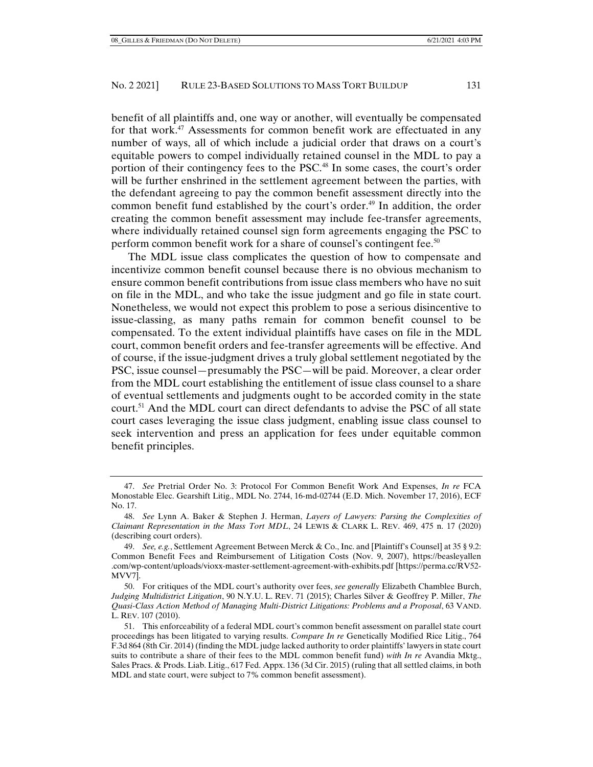benefit of all plaintiffs and, one way or another, will eventually be compensated for that work.<sup>47</sup> Assessments for common benefit work are effectuated in any number of ways, all of which include a judicial order that draws on a court's equitable powers to compel individually retained counsel in the MDL to pay a portion of their contingency fees to the PSC.48 In some cases, the court's order will be further enshrined in the settlement agreement between the parties, with the defendant agreeing to pay the common benefit assessment directly into the common benefit fund established by the court's order.49 In addition, the order creating the common benefit assessment may include fee-transfer agreements, where individually retained counsel sign form agreements engaging the PSC to perform common benefit work for a share of counsel's contingent fee.<sup>50</sup>

The MDL issue class complicates the question of how to compensate and incentivize common benefit counsel because there is no obvious mechanism to ensure common benefit contributions from issue class members who have no suit on file in the MDL, and who take the issue judgment and go file in state court. Nonetheless, we would not expect this problem to pose a serious disincentive to issue-classing, as many paths remain for common benefit counsel to be compensated. To the extent individual plaintiffs have cases on file in the MDL court, common benefit orders and fee-transfer agreements will be effective. And of course, if the issue-judgment drives a truly global settlement negotiated by the PSC, issue counsel—presumably the PSC—will be paid. Moreover, a clear order from the MDL court establishing the entitlement of issue class counsel to a share of eventual settlements and judgments ought to be accorded comity in the state court.51 And the MDL court can direct defendants to advise the PSC of all state court cases leveraging the issue class judgment, enabling issue class counsel to seek intervention and press an application for fees under equitable common benefit principles.

 <sup>47.</sup> *See* Pretrial Order No. 3: Protocol For Common Benefit Work And Expenses, *In re* FCA Monostable Elec. Gearshift Litig., MDL No. 2744, 16-md-02744 (E.D. Mich. November 17, 2016), ECF No. 17.

 <sup>48.</sup> *See* Lynn A. Baker & Stephen J. Herman, *Layers of Lawyers: Parsing the Complexities of Claimant Representation in the Mass Tort MDL*, 24 LEWIS & CLARK L. REV. 469, 475 n. 17 (2020) (describing court orders).

 <sup>49.</sup> *See, e.g.*, Settlement Agreement Between Merck & Co., Inc. and [Plaintiff's Counsel] at 35 § 9.2: Common Benefit Fees and Reimbursement of Litigation Costs (Nov. 9, 2007), https://beasleyallen .com/wp-content/uploads/vioxx-master-settlement-agreement-with-exhibits.pdf [https://perma.cc/RV52- MVV7].

 <sup>50.</sup> For critiques of the MDL court's authority over fees, *see generally* Elizabeth Chamblee Burch, *Judging Multidistrict Litigation*, 90 N.Y.U. L. REV. 71 (2015); Charles Silver & Geoffrey P. Miller, *The Quasi-Class Action Method of Managing Multi-District Litigations: Problems and a Proposal*, 63 VAND. L. REV. 107 (2010).

 <sup>51.</sup> This enforceability of a federal MDL court's common benefit assessment on parallel state court proceedings has been litigated to varying results. *Compare In re* Genetically Modified Rice Litig., 764 F.3d 864 (8th Cir. 2014) (finding the MDL judge lacked authority to order plaintiffs' lawyers in state court suits to contribute a share of their fees to the MDL common benefit fund) *with In re* Avandia Mktg., Sales Pracs. & Prods. Liab. Litig., 617 Fed. Appx. 136 (3d Cir. 2015) (ruling that all settled claims, in both MDL and state court, were subject to 7% common benefit assessment).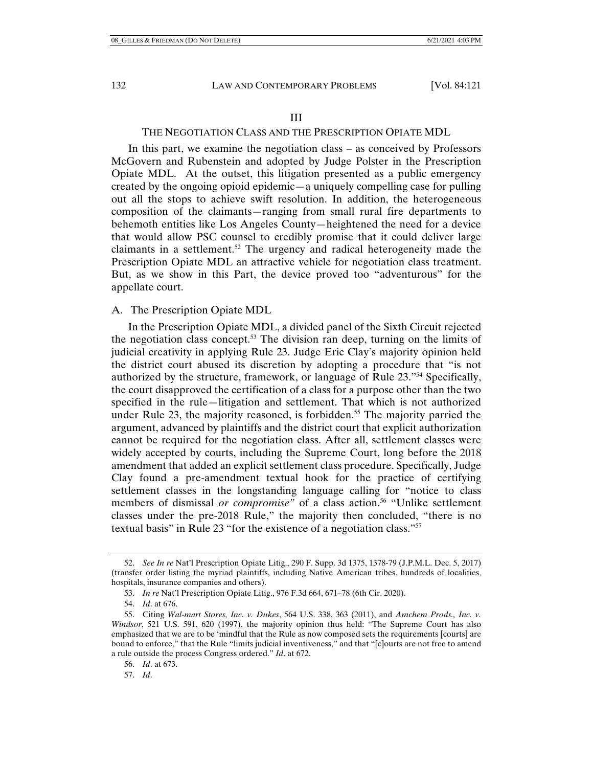#### III

## THE NEGOTIATION CLASS AND THE PRESCRIPTION OPIATE MDL

In this part, we examine the negotiation class – as conceived by Professors McGovern and Rubenstein and adopted by Judge Polster in the Prescription Opiate MDL. At the outset, this litigation presented as a public emergency created by the ongoing opioid epidemic—a uniquely compelling case for pulling out all the stops to achieve swift resolution. In addition, the heterogeneous composition of the claimants—ranging from small rural fire departments to behemoth entities like Los Angeles County—heightened the need for a device that would allow PSC counsel to credibly promise that it could deliver large claimants in a settlement.<sup>52</sup> The urgency and radical heterogeneity made the Prescription Opiate MDL an attractive vehicle for negotiation class treatment. But, as we show in this Part, the device proved too "adventurous" for the appellate court.

#### A. The Prescription Opiate MDL

In the Prescription Opiate MDL, a divided panel of the Sixth Circuit rejected the negotiation class concept.<sup>53</sup> The division ran deep, turning on the limits of judicial creativity in applying Rule 23. Judge Eric Clay's majority opinion held the district court abused its discretion by adopting a procedure that "is not authorized by the structure, framework, or language of Rule 23."54 Specifically, the court disapproved the certification of a class for a purpose other than the two specified in the rule—litigation and settlement. That which is not authorized under Rule 23, the majority reasoned, is forbidden.<sup>55</sup> The majority parried the argument, advanced by plaintiffs and the district court that explicit authorization cannot be required for the negotiation class. After all, settlement classes were widely accepted by courts, including the Supreme Court, long before the 2018 amendment that added an explicit settlement class procedure. Specifically, Judge Clay found a pre-amendment textual hook for the practice of certifying settlement classes in the longstanding language calling for "notice to class members of dismissal *or compromise*" of a class action.<sup>56</sup> "Unlike settlement classes under the pre-2018 Rule," the majority then concluded, "there is no textual basis" in Rule 23 "for the existence of a negotiation class."57

 <sup>52.</sup> *See In re* Nat'l Prescription Opiate Litig., 290 F. Supp. 3d 1375, 1378-79 (J.P.M.L. Dec. 5, 2017) (transfer order listing the myriad plaintiffs, including Native American tribes, hundreds of localities, hospitals, insurance companies and others).

 <sup>53.</sup> *In re* Nat'l Prescription Opiate Litig., 976 F.3d 664, 671–78 (6th Cir. 2020).

 <sup>54.</sup> *Id*. at 676.

 <sup>55.</sup> Citing *Wal-mart Stores, Inc. v. Dukes*, 564 U.S. 338, 363 (2011), and *Amchem Prods., Inc. v. Windsor*, 521 U.S. 591, 620 (1997), the majority opinion thus held: "The Supreme Court has also emphasized that we are to be 'mindful that the Rule as now composed sets the requirements [courts] are bound to enforce," that the Rule "limits judicial inventiveness," and that "[c]ourts are not free to amend a rule outside the process Congress ordered." *Id*. at 672.

 <sup>56.</sup> *Id*. at 673.

 <sup>57.</sup> *Id*.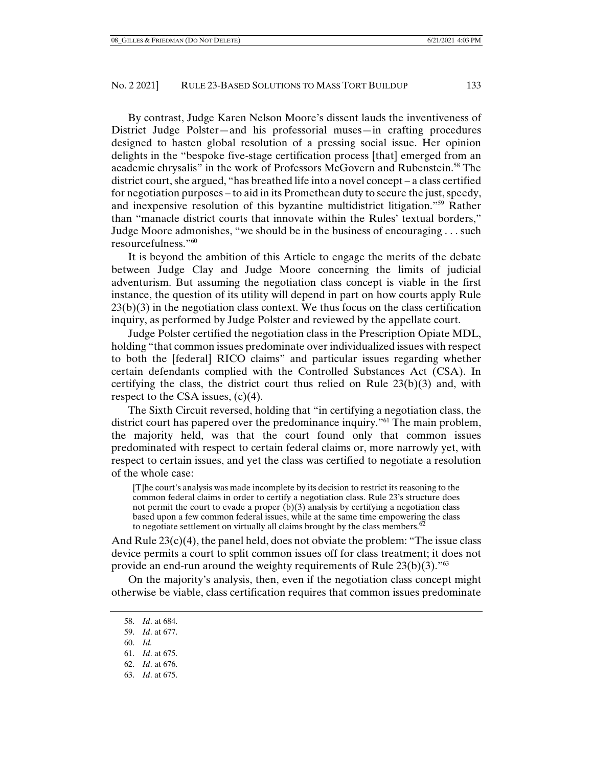By contrast, Judge Karen Nelson Moore's dissent lauds the inventiveness of District Judge Polster—and his professorial muses—in crafting procedures designed to hasten global resolution of a pressing social issue. Her opinion delights in the "bespoke five-stage certification process [that] emerged from an academic chrysalis" in the work of Professors McGovern and Rubenstein.<sup>58</sup> The district court, she argued, "has breathed life into a novel concept – a class certified for negotiation purposes – to aid in its Promethean duty to secure the just, speedy, and inexpensive resolution of this byzantine multidistrict litigation."59 Rather than "manacle district courts that innovate within the Rules' textual borders," Judge Moore admonishes, "we should be in the business of encouraging . . . such resourcefulness."60

It is beyond the ambition of this Article to engage the merits of the debate between Judge Clay and Judge Moore concerning the limits of judicial adventurism. But assuming the negotiation class concept is viable in the first instance, the question of its utility will depend in part on how courts apply Rule  $23(b)(3)$  in the negotiation class context. We thus focus on the class certification inquiry, as performed by Judge Polster and reviewed by the appellate court.

Judge Polster certified the negotiation class in the Prescription Opiate MDL, holding "that common issues predominate over individualized issues with respect to both the [federal] RICO claims" and particular issues regarding whether certain defendants complied with the Controlled Substances Act (CSA). In certifying the class, the district court thus relied on Rule  $23(b)(3)$  and, with respect to the CSA issues,  $(c)(4)$ .

The Sixth Circuit reversed, holding that "in certifying a negotiation class, the district court has papered over the predominance inquiry."61 The main problem, the majority held, was that the court found only that common issues predominated with respect to certain federal claims or, more narrowly yet, with respect to certain issues, and yet the class was certified to negotiate a resolution of the whole case:

[T]he court's analysis was made incomplete by its decision to restrict its reasoning to the common federal claims in order to certify a negotiation class. Rule 23's structure does not permit the court to evade a proper  $(b)(3)$  analysis by certifying a negotiation class based upon a few common federal issues, while at the same time empowering the class to negotiate settlement on virtually all claims brought by the class members.<sup>6</sup>

And Rule  $23(c)(4)$ , the panel held, does not obviate the problem: "The issue class" device permits a court to split common issues off for class treatment; it does not provide an end-run around the weighty requirements of Rule  $23(b)(3)$ ."<sup>63</sup>

On the majority's analysis, then, even if the negotiation class concept might otherwise be viable, class certification requires that common issues predominate

63. *Id*. at 675.

 <sup>58.</sup> *Id*. at 684.

 <sup>59.</sup> *Id*. at 677.

 <sup>60.</sup> *Id.* 

 <sup>61.</sup> *Id*. at 675.

 <sup>62.</sup> *Id*. at 676.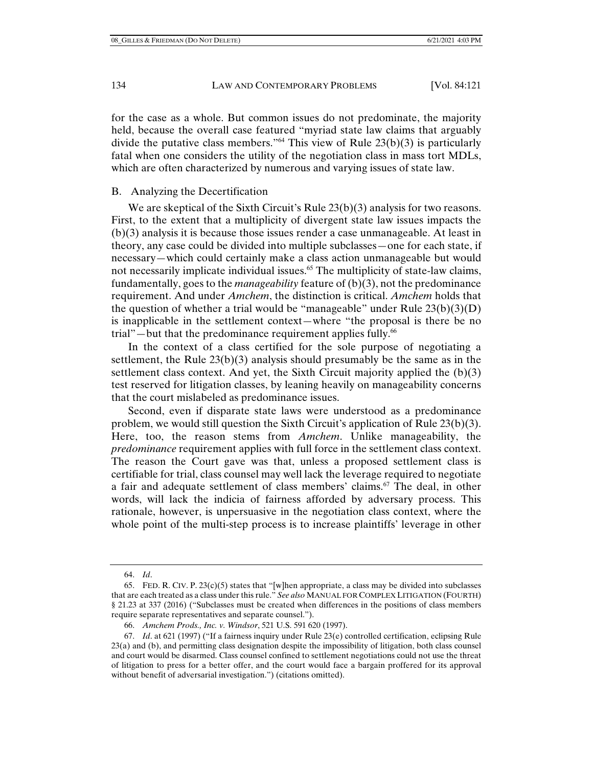for the case as a whole. But common issues do not predominate, the majority held, because the overall case featured "myriad state law claims that arguably divide the putative class members."<sup>64</sup> This view of Rule  $23(b)(3)$  is particularly fatal when one considers the utility of the negotiation class in mass tort MDLs, which are often characterized by numerous and varying issues of state law.

# B. Analyzing the Decertification

We are skeptical of the Sixth Circuit's Rule 23(b)(3) analysis for two reasons. First, to the extent that a multiplicity of divergent state law issues impacts the (b)(3) analysis it is because those issues render a case unmanageable. At least in theory, any case could be divided into multiple subclasses—one for each state, if necessary—which could certainly make a class action unmanageable but would not necessarily implicate individual issues.<sup>65</sup> The multiplicity of state-law claims, fundamentally, goes to the *manageability* feature of (b)(3), not the predominance requirement. And under *Amchem*, the distinction is critical. *Amchem* holds that the question of whether a trial would be "manageable" under Rule  $23(b)(3)(D)$ is inapplicable in the settlement context—where "the proposal is there be no trial"—but that the predominance requirement applies fully.<sup>66</sup>

In the context of a class certified for the sole purpose of negotiating a settlement, the Rule  $23(b)(3)$  analysis should presumably be the same as in the settlement class context. And yet, the Sixth Circuit majority applied the (b)(3) test reserved for litigation classes, by leaning heavily on manageability concerns that the court mislabeled as predominance issues.

Second, even if disparate state laws were understood as a predominance problem, we would still question the Sixth Circuit's application of Rule 23(b)(3). Here, too, the reason stems from *Amchem*. Unlike manageability, the *predominance* requirement applies with full force in the settlement class context. The reason the Court gave was that, unless a proposed settlement class is certifiable for trial, class counsel may well lack the leverage required to negotiate a fair and adequate settlement of class members' claims.67 The deal, in other words, will lack the indicia of fairness afforded by adversary process. This rationale, however, is unpersuasive in the negotiation class context, where the whole point of the multi-step process is to increase plaintiffs' leverage in other

 <sup>64.</sup> *Id*.

<sup>65.</sup> FED. R. CIV. P.  $23(c)(5)$  states that "[w]hen appropriate, a class may be divided into subclasses that are each treated as a class under this rule." *See also* MANUAL FOR COMPLEX LITIGATION (FOURTH) § 21.23 at 337 (2016) ("Subclasses must be created when differences in the positions of class members require separate representatives and separate counsel.").

 <sup>66.</sup> *Amchem Prods., Inc. v. Windsor*, 521 U.S. 591 620 (1997).

 <sup>67.</sup> *Id*. at 621 (1997) ("If a fairness inquiry under Rule 23(e) controlled certification, eclipsing Rule 23(a) and (b), and permitting class designation despite the impossibility of litigation, both class counsel and court would be disarmed. Class counsel confined to settlement negotiations could not use the threat of litigation to press for a better offer, and the court would face a bargain proffered for its approval without benefit of adversarial investigation.") (citations omitted).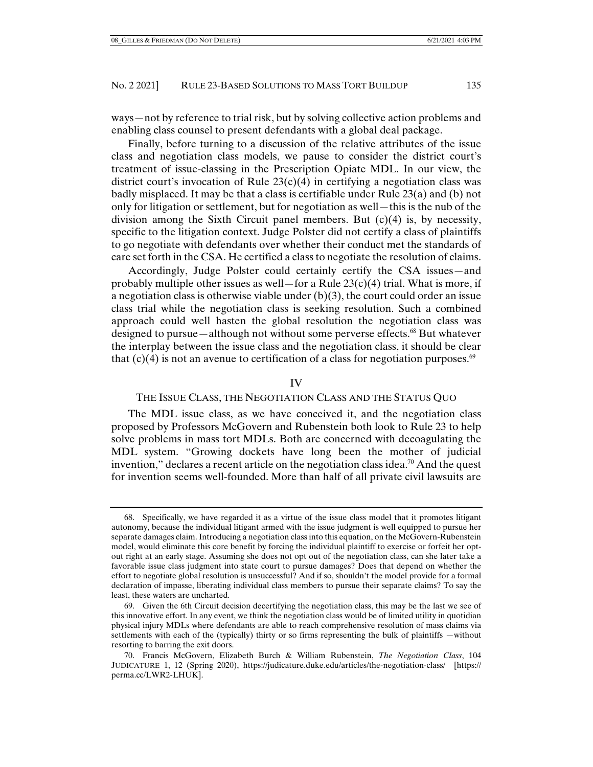ways—not by reference to trial risk, but by solving collective action problems and enabling class counsel to present defendants with a global deal package.

Finally, before turning to a discussion of the relative attributes of the issue class and negotiation class models, we pause to consider the district court's treatment of issue-classing in the Prescription Opiate MDL. In our view, the district court's invocation of Rule  $23(c)(4)$  in certifying a negotiation class was badly misplaced. It may be that a class is certifiable under Rule 23(a) and (b) not only for litigation or settlement, but for negotiation as well—this is the nub of the division among the Sixth Circuit panel members. But  $(c)(4)$  is, by necessity, specific to the litigation context. Judge Polster did not certify a class of plaintiffs to go negotiate with defendants over whether their conduct met the standards of care set forth in the CSA. He certified a class to negotiate the resolution of claims.

Accordingly, Judge Polster could certainly certify the CSA issues—and probably multiple other issues as well—for a Rule  $23(c)(4)$  trial. What is more, if a negotiation class is otherwise viable under  $(b)(3)$ , the court could order an issue class trial while the negotiation class is seeking resolution. Such a combined approach could well hasten the global resolution the negotiation class was designed to pursue—although not without some perverse effects.<sup>68</sup> But whatever the interplay between the issue class and the negotiation class, it should be clear that  $(c)(4)$  is not an avenue to certification of a class for negotiation purposes.<sup>69</sup>

#### IV

## THE ISSUE CLASS, THE NEGOTIATION CLASS AND THE STATUS QUO

The MDL issue class, as we have conceived it, and the negotiation class proposed by Professors McGovern and Rubenstein both look to Rule 23 to help solve problems in mass tort MDLs. Both are concerned with decoagulating the MDL system. "Growing dockets have long been the mother of judicial invention," declares a recent article on the negotiation class idea.70 And the quest for invention seems well-founded. More than half of all private civil lawsuits are

 <sup>68.</sup> Specifically, we have regarded it as a virtue of the issue class model that it promotes litigant autonomy, because the individual litigant armed with the issue judgment is well equipped to pursue her separate damages claim. Introducing a negotiation class into this equation, on the McGovern-Rubenstein model, would eliminate this core benefit by forcing the individual plaintiff to exercise or forfeit her optout right at an early stage. Assuming she does not opt out of the negotiation class, can she later take a favorable issue class judgment into state court to pursue damages? Does that depend on whether the effort to negotiate global resolution is unsuccessful? And if so, shouldn't the model provide for a formal declaration of impasse, liberating individual class members to pursue their separate claims? To say the least, these waters are uncharted.

 <sup>69.</sup> Given the 6th Circuit decision decertifying the negotiation class, this may be the last we see of this innovative effort. In any event, we think the negotiation class would be of limited utility in quotidian physical injury MDLs where defendants are able to reach comprehensive resolution of mass claims via settlements with each of the (typically) thirty or so firms representing the bulk of plaintiffs —without resorting to barring the exit doors.

 <sup>70.</sup> Francis McGovern, Elizabeth Burch & William Rubenstein, *The Negotiation Class*, 104 JUDICATURE 1, 12 (Spring 2020), https://judicature.duke.edu/articles/the-negotiation-class/ [https:// perma.cc/LWR2-LHUK].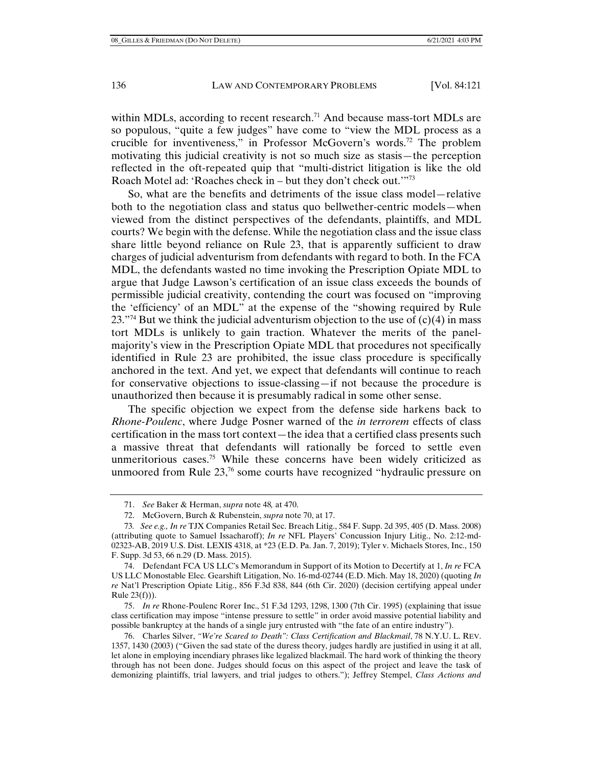within MDLs, according to recent research.<sup>71</sup> And because mass-tort MDLs are so populous, "quite a few judges" have come to "view the MDL process as a crucible for inventiveness," in Professor McGovern's words.72 The problem motivating this judicial creativity is not so much size as stasis—the perception reflected in the oft-repeated quip that "multi-district litigation is like the old Roach Motel ad: 'Roaches check in – but they don't check out.'"<sup>73</sup>

So, what are the benefits and detriments of the issue class model—relative both to the negotiation class and status quo bellwether-centric models—when viewed from the distinct perspectives of the defendants, plaintiffs, and MDL courts? We begin with the defense. While the negotiation class and the issue class share little beyond reliance on Rule 23, that is apparently sufficient to draw charges of judicial adventurism from defendants with regard to both. In the FCA MDL, the defendants wasted no time invoking the Prescription Opiate MDL to argue that Judge Lawson's certification of an issue class exceeds the bounds of permissible judicial creativity, contending the court was focused on "improving the 'efficiency' of an MDL" at the expense of the "showing required by Rule 23."<sup>74</sup> But we think the judicial adventurism objection to the use of  $(c)(4)$  in mass tort MDLs is unlikely to gain traction. Whatever the merits of the panelmajority's view in the Prescription Opiate MDL that procedures not specifically identified in Rule 23 are prohibited, the issue class procedure is specifically anchored in the text. And yet, we expect that defendants will continue to reach for conservative objections to issue-classing—if not because the procedure is unauthorized then because it is presumably radical in some other sense.

The specific objection we expect from the defense side harkens back to *Rhone-Poulenc*, where Judge Posner warned of the *in terrorem* effects of class certification in the mass tort context—the idea that a certified class presents such a massive threat that defendants will rationally be forced to settle even unmeritorious cases.<sup>75</sup> While these concerns have been widely criticized as unmoored from Rule 23,<sup>76</sup> some courts have recognized "hydraulic pressure on

 <sup>71.</sup> *See* Baker & Herman, *supra* note 48*,* at 470.

 <sup>72.</sup> McGovern, Burch & Rubenstein, *supra* note 70, at 17.

<sup>73</sup>*. See e.g., In re* TJX Companies Retail Sec. Breach Litig., 584 F. Supp. 2d 395, 405 (D. Mass. 2008) (attributing quote to Samuel Issacharoff); *In re* NFL Players' Concussion Injury Litig., No. 2:12-md-02323-AB, 2019 U.S. Dist. LEXIS 4318, at \*23 (E.D. Pa. Jan. 7, 2019); Tyler v. Michaels Stores, Inc., 150 F. Supp. 3d 53, 66 n.29 (D. Mass. 2015).

 <sup>74.</sup> Defendant FCA US LLC's Memorandum in Support of its Motion to Decertify at 1, *In re* FCA US LLC Monostable Elec. Gearshift Litigation, No. 16-md-02744 (E.D. Mich. May 18, 2020) (quoting *In re* Nat'l Prescription Opiate Litig., 856 F.3d 838, 844 (6th Cir. 2020) (decision certifying appeal under Rule 23(f))).

 <sup>75.</sup> *In re* Rhone-Poulenc Rorer Inc., 51 F.3d 1293, 1298, 1300 (7th Cir. 1995) (explaining that issue class certification may impose "intense pressure to settle" in order avoid massive potential liability and possible bankruptcy at the hands of a single jury entrusted with "the fate of an entire industry").

 <sup>76.</sup> Charles Silver, *"We're Scared to Death": Class Certification and Blackmail*, 78 N.Y.U. L. REV. 1357, 1430 (2003) ("Given the sad state of the duress theory, judges hardly are justified in using it at all, let alone in employing incendiary phrases like legalized blackmail. The hard work of thinking the theory through has not been done. Judges should focus on this aspect of the project and leave the task of demonizing plaintiffs, trial lawyers, and trial judges to others."); Jeffrey Stempel, *Class Actions and*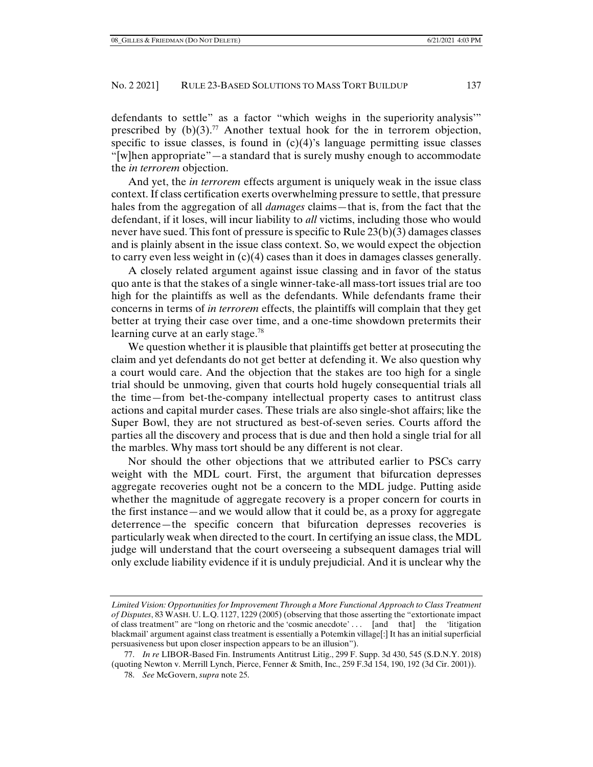defendants to settle" as a factor "which weighs in the superiority analysis'" prescribed by  $(b)(3)$ .<sup>77</sup> Another textual hook for the in terrorem objection, specific to issue classes, is found in  $(c)(4)$ 's language permitting issue classes "[w]hen appropriate"—a standard that is surely mushy enough to accommodate the *in terrorem* objection.

And yet, the *in terrorem* effects argument is uniquely weak in the issue class context. If class certification exerts overwhelming pressure to settle, that pressure hales from the aggregation of all *damages* claims—that is, from the fact that the defendant, if it loses, will incur liability to *all* victims, including those who would never have sued. This font of pressure is specific to Rule 23(b)(3) damages classes and is plainly absent in the issue class context. So, we would expect the objection to carry even less weight in  $(c)(4)$  cases than it does in damages classes generally.

A closely related argument against issue classing and in favor of the status quo ante is that the stakes of a single winner-take-all mass-tort issues trial are too high for the plaintiffs as well as the defendants. While defendants frame their concerns in terms of *in terrorem* effects, the plaintiffs will complain that they get better at trying their case over time, and a one-time showdown pretermits their learning curve at an early stage.<sup>78</sup>

We question whether it is plausible that plaintiffs get better at prosecuting the claim and yet defendants do not get better at defending it. We also question why a court would care. And the objection that the stakes are too high for a single trial should be unmoving, given that courts hold hugely consequential trials all the time—from bet-the-company intellectual property cases to antitrust class actions and capital murder cases. These trials are also single-shot affairs; like the Super Bowl, they are not structured as best-of-seven series. Courts afford the parties all the discovery and process that is due and then hold a single trial for all the marbles. Why mass tort should be any different is not clear.

Nor should the other objections that we attributed earlier to PSCs carry weight with the MDL court. First, the argument that bifurcation depresses aggregate recoveries ought not be a concern to the MDL judge. Putting aside whether the magnitude of aggregate recovery is a proper concern for courts in the first instance—and we would allow that it could be, as a proxy for aggregate deterrence—the specific concern that bifurcation depresses recoveries is particularly weak when directed to the court. In certifying an issue class, the MDL judge will understand that the court overseeing a subsequent damages trial will only exclude liability evidence if it is unduly prejudicial. And it is unclear why the

*Limited Vision: Opportunities for Improvement Through a More Functional Approach to Class Treatment of Disputes*, 83 WASH. U. L.Q. 1127, 1229 (2005) (observing that those asserting the "extortionate impact of class treatment" are "long on rhetoric and the 'cosmic anecdote' . . . [and that] the 'litigation blackmail' argument against class treatment is essentially a Potemkin village[:] It has an initial superficial persuasiveness but upon closer inspection appears to be an illusion").

 <sup>77.</sup> *In re* LIBOR-Based Fin. Instruments Antitrust Litig., 299 F. Supp. 3d 430, 545 (S.D.N.Y. 2018) (quoting Newton v. Merrill Lynch, Pierce, Fenner & Smith, Inc., 259 F.3d 154, 190, 192 (3d Cir. 2001)).

 <sup>78.</sup> *See* McGovern, *supra* note 25.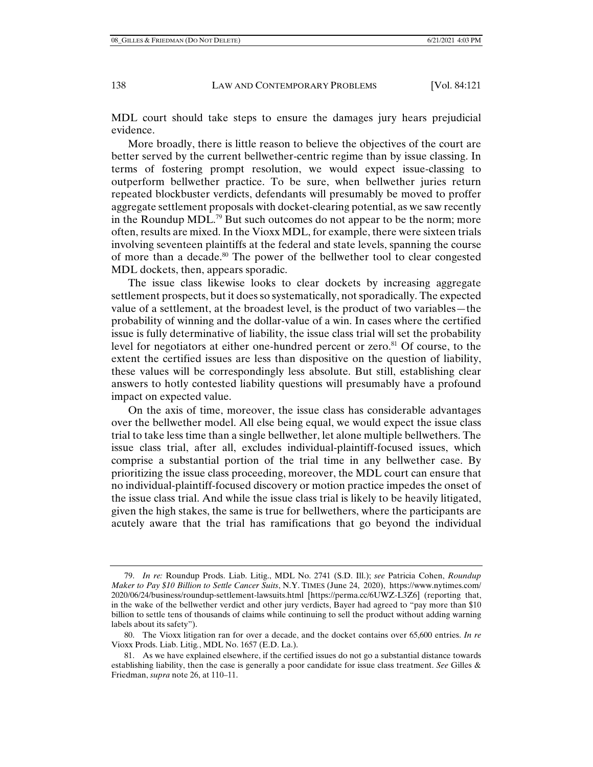MDL court should take steps to ensure the damages jury hears prejudicial evidence.

More broadly, there is little reason to believe the objectives of the court are better served by the current bellwether-centric regime than by issue classing. In terms of fostering prompt resolution, we would expect issue-classing to outperform bellwether practice. To be sure, when bellwether juries return repeated blockbuster verdicts, defendants will presumably be moved to proffer aggregate settlement proposals with docket-clearing potential, as we saw recently in the Roundup MDL.<sup>79</sup> But such outcomes do not appear to be the norm; more often, results are mixed. In the Vioxx MDL, for example, there were sixteen trials involving seventeen plaintiffs at the federal and state levels, spanning the course of more than a decade.<sup>80</sup> The power of the bellwether tool to clear congested MDL dockets, then, appears sporadic.

The issue class likewise looks to clear dockets by increasing aggregate settlement prospects, but it does so systematically, not sporadically. The expected value of a settlement, at the broadest level, is the product of two variables—the probability of winning and the dollar-value of a win. In cases where the certified issue is fully determinative of liability, the issue class trial will set the probability level for negotiators at either one-hundred percent or zero.<sup>81</sup> Of course, to the extent the certified issues are less than dispositive on the question of liability, these values will be correspondingly less absolute. But still, establishing clear answers to hotly contested liability questions will presumably have a profound impact on expected value.

On the axis of time, moreover, the issue class has considerable advantages over the bellwether model. All else being equal, we would expect the issue class trial to take less time than a single bellwether, let alone multiple bellwethers. The issue class trial, after all, excludes individual-plaintiff-focused issues, which comprise a substantial portion of the trial time in any bellwether case. By prioritizing the issue class proceeding, moreover, the MDL court can ensure that no individual-plaintiff-focused discovery or motion practice impedes the onset of the issue class trial. And while the issue class trial is likely to be heavily litigated, given the high stakes, the same is true for bellwethers, where the participants are acutely aware that the trial has ramifications that go beyond the individual

 <sup>79.</sup> *In re:* Roundup Prods. Liab. Litig., MDL No. 2741 (S.D. Ill.); *see* Patricia Cohen, *Roundup Maker to Pay \$10 Billion to Settle Cancer Suits*, N.Y. TIMES (June 24, 2020), https://www.nytimes.com/ 2020/06/24/business/roundup-settlement-lawsuits.html [https://perma.cc/6UWZ-L3Z6] (reporting that, in the wake of the bellwether verdict and other jury verdicts, Bayer had agreed to "pay more than \$10 billion to settle tens of thousands of claims while continuing to sell the product without adding warning labels about its safety").

 <sup>80.</sup> The Vioxx litigation ran for over a decade, and the docket contains over 65,600 entries. *In re*  Vioxx Prods. Liab. Litig*.*, MDL No. 1657 (E.D. La.).

 <sup>81.</sup> As we have explained elsewhere, if the certified issues do not go a substantial distance towards establishing liability, then the case is generally a poor candidate for issue class treatment. *See* Gilles & Friedman, *supra* note 26, at 110–11.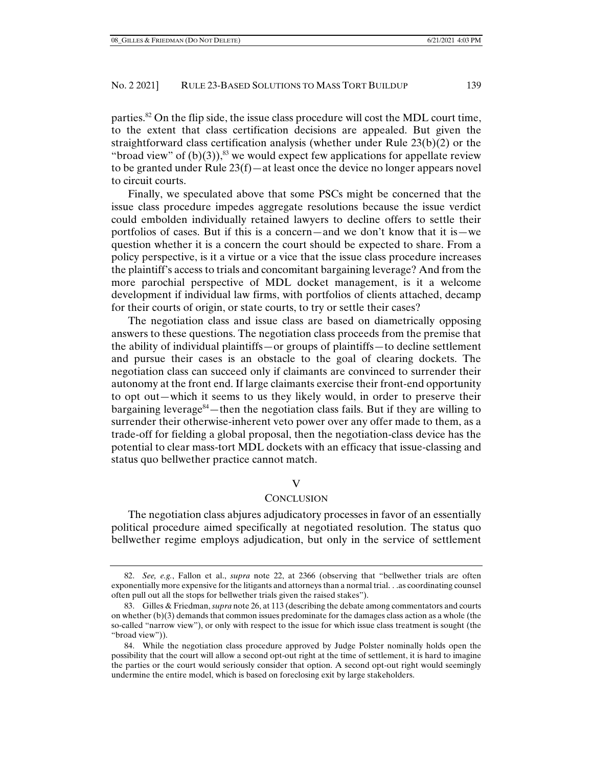parties.<sup>82</sup> On the flip side, the issue class procedure will cost the MDL court time, to the extent that class certification decisions are appealed. But given the straightforward class certification analysis (whether under Rule 23(b)(2) or the "broad view" of  $(b)(3)$ ,<sup>83</sup> we would expect few applications for appellate review to be granted under Rule 23(f)—at least once the device no longer appears novel to circuit courts.

Finally, we speculated above that some PSCs might be concerned that the issue class procedure impedes aggregate resolutions because the issue verdict could embolden individually retained lawyers to decline offers to settle their portfolios of cases. But if this is a concern—and we don't know that it is—we question whether it is a concern the court should be expected to share. From a policy perspective, is it a virtue or a vice that the issue class procedure increases the plaintiff's access to trials and concomitant bargaining leverage? And from the more parochial perspective of MDL docket management, is it a welcome development if individual law firms, with portfolios of clients attached, decamp for their courts of origin, or state courts, to try or settle their cases?

The negotiation class and issue class are based on diametrically opposing answers to these questions. The negotiation class proceeds from the premise that the ability of individual plaintiffs—or groups of plaintiffs—to decline settlement and pursue their cases is an obstacle to the goal of clearing dockets. The negotiation class can succeed only if claimants are convinced to surrender their autonomy at the front end. If large claimants exercise their front-end opportunity to opt out—which it seems to us they likely would, in order to preserve their bargaining leverage<sup>84</sup>—then the negotiation class fails. But if they are willing to surrender their otherwise-inherent veto power over any offer made to them, as a trade-off for fielding a global proposal, then the negotiation-class device has the potential to clear mass-tort MDL dockets with an efficacy that issue-classing and status quo bellwether practice cannot match.

#### V

#### **CONCLUSION**

The negotiation class abjures adjudicatory processes in favor of an essentially political procedure aimed specifically at negotiated resolution. The status quo bellwether regime employs adjudication, but only in the service of settlement

 <sup>82.</sup> *See, e.g.*, Fallon et al., *supra* note 22, at 2366 (observing that "bellwether trials are often exponentially more expensive for the litigants and attorneys than a normal trial. . .as coordinating counsel often pull out all the stops for bellwether trials given the raised stakes").

 <sup>83.</sup> Gilles & Friedman, *supra* note 26, at 113 (describing the debate among commentators and courts on whether (b)(3) demands that common issues predominate for the damages class action as a whole (the so-called "narrow view"), or only with respect to the issue for which issue class treatment is sought (the "broad view")).

 <sup>84.</sup> While the negotiation class procedure approved by Judge Polster nominally holds open the possibility that the court will allow a second opt-out right at the time of settlement, it is hard to imagine the parties or the court would seriously consider that option. A second opt-out right would seemingly undermine the entire model, which is based on foreclosing exit by large stakeholders.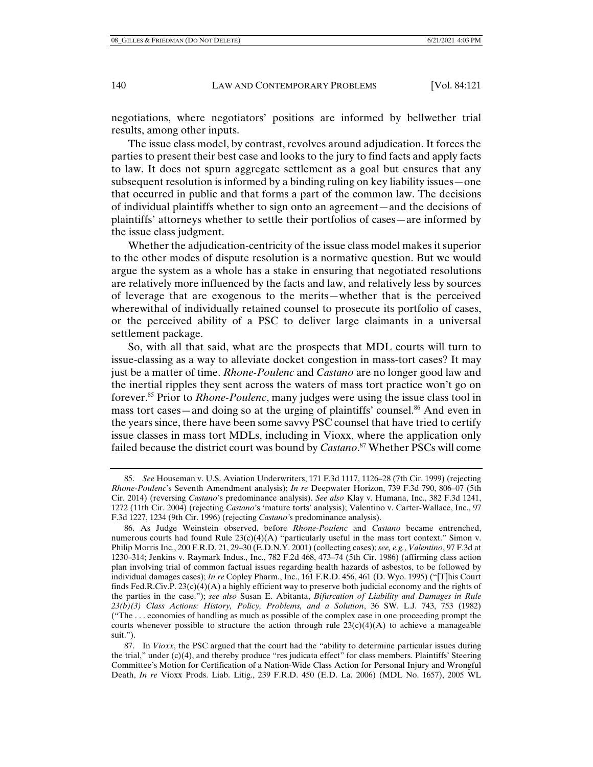negotiations, where negotiators' positions are informed by bellwether trial results, among other inputs.

The issue class model, by contrast, revolves around adjudication. It forces the parties to present their best case and looks to the jury to find facts and apply facts to law. It does not spurn aggregate settlement as a goal but ensures that any subsequent resolution is informed by a binding ruling on key liability issues—one that occurred in public and that forms a part of the common law. The decisions of individual plaintiffs whether to sign onto an agreement—and the decisions of plaintiffs' attorneys whether to settle their portfolios of cases—are informed by the issue class judgment.

Whether the adjudication-centricity of the issue class model makes it superior to the other modes of dispute resolution is a normative question. But we would argue the system as a whole has a stake in ensuring that negotiated resolutions are relatively more influenced by the facts and law, and relatively less by sources of leverage that are exogenous to the merits—whether that is the perceived wherewithal of individually retained counsel to prosecute its portfolio of cases, or the perceived ability of a PSC to deliver large claimants in a universal settlement package.

So, with all that said, what are the prospects that MDL courts will turn to issue-classing as a way to alleviate docket congestion in mass-tort cases? It may just be a matter of time. *Rhone-Poulenc* and *Castano* are no longer good law and the inertial ripples they sent across the waters of mass tort practice won't go on forever.85 Prior to *Rhone-Poulenc*, many judges were using the issue class tool in mass tort cases—and doing so at the urging of plaintiffs' counsel.<sup>86</sup> And even in the years since, there have been some savvy PSC counsel that have tried to certify issue classes in mass tort MDLs, including in Vioxx, where the application only failed because the district court was bound by *Castano*. 87 Whether PSCs will come

 <sup>85.</sup> *See* Houseman v. U.S. Aviation Underwriters, 171 F.3d 1117, 1126–28 (7th Cir. 1999) (rejecting *Rhone-Poulenc*'s Seventh Amendment analysis); *In re* Deepwater Horizon, 739 F.3d 790, 806–07 (5th Cir. 2014) (reversing *Castano*'s predominance analysis). *See also* Klay v. Humana, Inc., 382 F.3d 1241, 1272 (11th Cir. 2004) (rejecting *Castano*'s 'mature torts' analysis); Valentino v. Carter-Wallace, Inc., 97 F.3d 1227, 1234 (9th Cir. 1996) (rejecting *Castano'*s predominance analysis).

 <sup>86.</sup> As Judge Weinstein observed, before *Rhone-Poulenc* and *Castano* became entrenched, numerous courts had found Rule  $23(c)(4)(A)$  "particularly useful in the mass tort context." Simon v. Philip Morris Inc., 200 F.R.D. 21, 29–30 (E.D.N.Y. 2001) (collecting cases); *see, e.g.*, *Valentino*, 97 F.3d at 1230–314; Jenkins v. Raymark Indus., Inc., 782 F.2d 468, 473–74 (5th Cir. 1986) (affirming class action plan involving trial of common factual issues regarding health hazards of asbestos, to be followed by individual damages cases); *In re* Copley Pharm., Inc., 161 F.R.D. 456, 461 (D. Wyo. 1995) ("[T]his Court finds Fed.R.Civ.P.  $23(c)(4)(A)$  a highly efficient way to preserve both judicial economy and the rights of the parties in the case."); *see also* Susan E. Abitanta, *Bifurcation of Liability and Damages in Rule 23(b)(3) Class Actions: History, Policy, Problems, and a Solution*, 36 SW. L.J. 743, 753 (1982) ("The . . . economies of handling as much as possible of the complex case in one proceeding prompt the courts whenever possible to structure the action through rule  $23(c)(4)(A)$  to achieve a manageable suit.").

 <sup>87.</sup> In *Vioxx*, the PSC argued that the court had the "ability to determine particular issues during the trial," under (c)(4), and thereby produce "res judicata effect" for class members. Plaintiffs' Steering Committee's Motion for Certification of a Nation-Wide Class Action for Personal Injury and Wrongful Death, *In re* Vioxx Prods. Liab. Litig., 239 F.R.D. 450 (E.D. La. 2006) (MDL No. 1657), 2005 WL